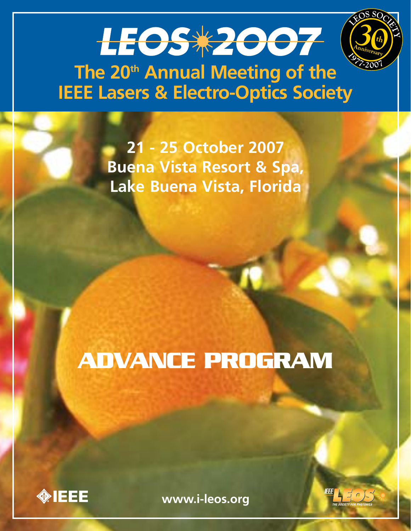



**The 20th Annual Meeting of the IEEE Lasers & Electro-Optics Society**

> **21 - 25 October 2007 Buena Vista Resort & Spa, Lake Buena Vista, Florida**

# **ADVANCE PROGRAM**



**www.i-leos.org**

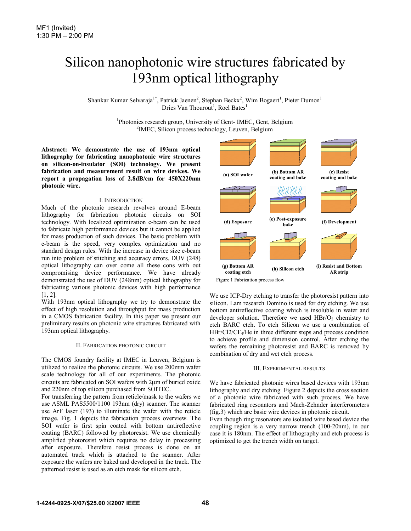## Silicon nanophotonic wire structures fabricated by 193nm optical lithography

Shankar Kumar Selvaraja<sup>1\*</sup>, Patrick Jaenen<sup>2</sup>, Stephan Beckx<sup>2</sup>, Wim Bogaert<sup>1</sup>, Pieter Dumon<sup>1</sup> Dries Van Thourout<sup>1</sup>, Roel Bates<sup>1</sup>

> Photonics research group, University of Gent-IMEC, Gent, Belgium  $\frac{2 \text{NMEC}}{2 \text{NMEC}}$  Silicon process technology Lewis Belgium  $<sup>2</sup>$ IMEC, Silicon process technology, Leuven, Belgium</sup>

**Abstract: We demonstrate the use of 193nm optical lithography for fabricating nanophotonic wire structures on silicon-on-insulator (SOI) technology. We present fabrication and measurement result on wire devices. We report a propagation loss of 2.8dB/cm for 450X220nm photonic wire.** 

### I. INTRODUCTION

Much of the photonic research revolves around E-beam lithography for fabrication photonic circuits on SOI technology. With localized optimization e-beam can be used to fabricate high performance devices but it cannot be applied for mass production of such devices. The basic problem with e-beam is the speed, very complex optimization and no standard design rules. With the increase in device size e-beam run into problem of stitching and accuracy errors. DUV (248) optical lithography can over come all these cons with out compromising device performance. We have already demonstrated the use of DUV (248nm) optical lithography for fabricating various photonic devices with high performance  $[1, 2]$ .

With 193nm optical lithography we try to demonstrate the effect of high resolution and throughput for mass production in a CMOS fabrication facility. In this paper we present our preliminary results on photonic wire structures fabricated with 193nm optical lithography.

#### II. FABRICATION PHOTONIC CIRCUIT

The CMOS foundry facility at IMEC in Leuven, Belgium is utilized to realize the photonic circuits. We use 200mm wafer scale technology for all of our experiments. The photonic circuits are fabricated on SOI wafers with 2µm of buried oxide and 220nm of top silicon purchased from SOITEC.

For transferring the pattern from reticle/mask to the wafers we use ASML PAS5500/1100 193nm (dry) scanner. The scanner use ArF laser (193) to illuminate the wafer with the reticle image. Fig. 1 depicts the fabrication process overview. The SOI wafer is first spin coated with bottom antireflective coating (BARC) followed by photoresist. We use chemically amplified photoresist which requires no delay in processing after exposure. Therefore resist process is done on an automated track which is attached to the scanner. After exposure the wafers are baked and developed in the track. The patterned resist is used as an etch mask for silicon etch.



We use ICP-Dry etching to transfer the photoresist pattern into silicon. Lam research Domino is used for dry etching. We use bottom antireflective coating which is insoluble in water and developer solution. Therefore we used  $HBr/O<sub>2</sub>$  chemistry to etch BARC etch. To etch Silicon we use a combination of HBr/Cl2/CF<sub>4</sub>/He in three different steps and process condition to achieve profile and dimension control. After etching the wafers the remaining photoresist and BARC is removed by combination of dry and wet etch process.

#### III. EXPERIMENTAL RESULTS

We have fabricated photonic wires based devices with 193nm lithography and dry etching. Figure 2 depicts the cross section of a photonic wire fabricated with such process. We have fabricated ring resonators and Mach-Zehnder interferometers (fig.3) which are basic wire devices in photonic circuit.

Even though ring resonators are isolated wire based device the coupling region is a very narrow trench (100-20nm), in our case it is 180nm. The effect of lithography and etch process is optimized to get the trench width on target.